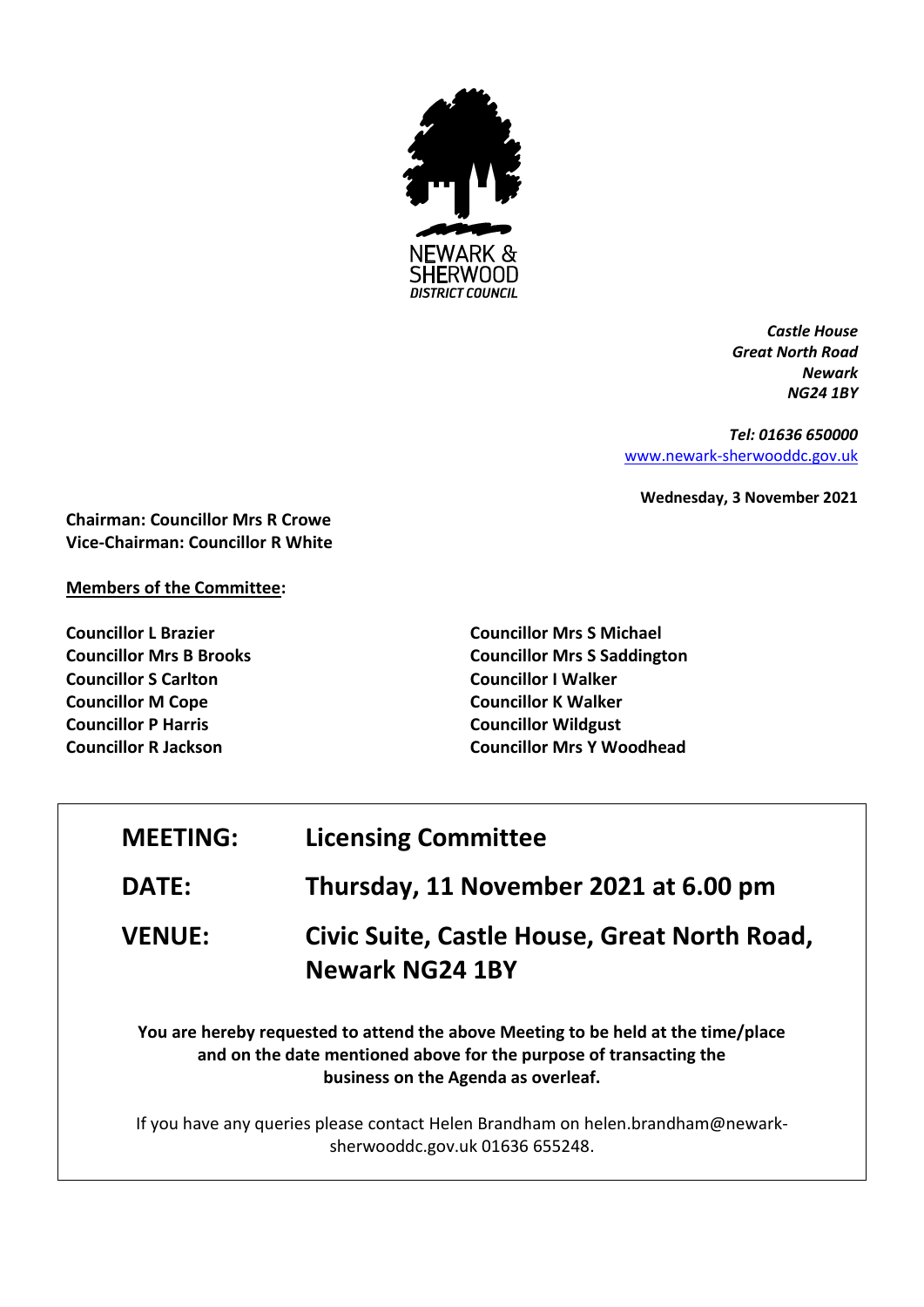

*Castle House Great North Road Newark NG24 1BY*

*Tel: 01636 650000* [www.newark-sherwooddc.gov.uk](http://www.newark-sherwooddc.gov.uk/)

**Wednesday, 3 November 2021**

**Chairman: Councillor Mrs R Crowe Vice-Chairman: Councillor R White**

## **Members of the Committee:**

**Councillor L Brazier Councillor Mrs B Brooks Councillor S Carlton Councillor M Cope Councillor P Harris Councillor R Jackson**

**Councillor Mrs S Michael Councillor Mrs S Saddington Councillor I Walker Councillor K Walker Councillor Wildgust Councillor Mrs Y Woodhead**

| <b>MEETING:</b> | <b>Licensing Committee</b>                                                                                                                                                                     |
|-----------------|------------------------------------------------------------------------------------------------------------------------------------------------------------------------------------------------|
| <b>DATE:</b>    | Thursday, 11 November 2021 at 6.00 pm                                                                                                                                                          |
| <b>VENUE:</b>   | Civic Suite, Castle House, Great North Road,<br><b>Newark NG24 1BY</b>                                                                                                                         |
|                 | You are hereby requested to attend the above Meeting to be held at the time/place<br>and on the date mentioned above for the purpose of transacting the<br>business on the Agenda as overleaf. |
|                 | If you have any queries please contact Helen Brandham on helen.brandham@newark-<br>sherwooddc.gov.uk 01636 655248.                                                                             |